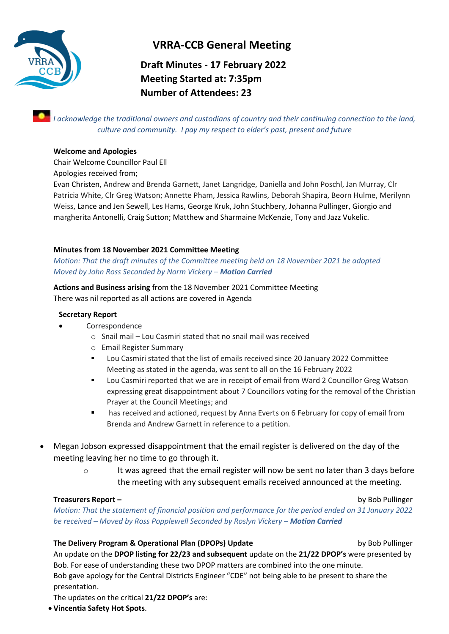

# **VRRA-CCB General Meeting**

# **Draft Minutes - 17 February 2022 Meeting Started at: 7:35pm Number of Attendees: 23**

*I acknowledge the traditional owners and custodians of country and their continuing connection to the land, culture and community. I pay my respect to elder's past, present and future*

## **Welcome and Apologies**

Chair Welcome Councillor Paul Ell

Apologies received from;

Evan Christen, Andrew and Brenda Garnett, Janet Langridge, Daniella and John Poschl, Jan Murray, Clr Patricia White, Clr Greg Watson; Annette Pham, Jessica Rawlins, Deborah Shapira, Beorn Hulme, Merilynn Weiss, Lance and Jen Sewell, Les Hams, George Kruk, John Stuchbery, Johanna Pullinger, Giorgio and margherita Antonelli, Craig Sutton; Matthew and Sharmaine McKenzie, Tony and Jazz Vukelic.

## **Minutes from 18 November 2021 Committee Meeting**

*Motion: That the draft minutes of the Committee meeting held on 18 November 2021 be adopted Moved by John Ross Seconded by Norm Vickery – Motion Carried*

**Actions and Business arising** from the 18 November 2021 Committee Meeting There was nil reported as all actions are covered in Agenda

## **Secretary Report**

- Correspondence
	- o Snail mail Lou Casmiri stated that no snail mail was received
	- o Email Register Summary
	- Lou Casmiri stated that the list of emails received since 20 January 2022 Committee Meeting as stated in the agenda, was sent to all on the 16 February 2022
	- Lou Casmiri reported that we are in receipt of email from Ward 2 Councillor Greg Watson expressing great disappointment about 7 Councillors voting for the removal of the Christian Prayer at the Council Meetings; and
	- has received and actioned, request by Anna Everts on 6 February for copy of email from Brenda and Andrew Garnett in reference to a petition.
- Megan Jobson expressed disappointment that the email register is delivered on the day of the meeting leaving her no time to go through it.
	- $\circ$  It was agreed that the email register will now be sent no later than 3 days before the meeting with any subsequent emails received announced at the meeting.

## **Treasurers Report –** by Bob Pullinger

*Motion: That the statement of financial position and performance for the period ended on 31 January 2022 be received – Moved by Ross Popplewell Seconded by Roslyn Vickery – Motion Carried*

## **The Delivery Program & Operational Plan (DPOPs) Update** by Bob Pullinger by Bob Pullinger

An update on the **DPOP listing for 22/23 and subsequent** update on the **21/22 DPOP's** were presented by Bob. For ease of understanding these two DPOP matters are combined into the one minute. Bob gave apology for the Central Districts Engineer "CDE" not being able to be present to share the presentation.

The updates on the critical **21/22 DPOP's** are:

• **Vincentia Safety Hot Spots**.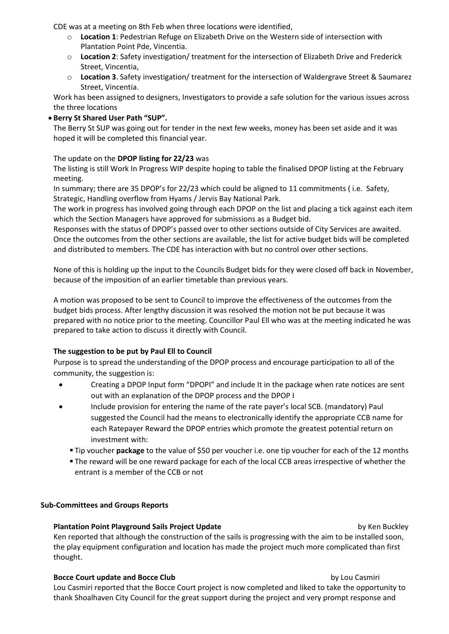CDE was at a meeting on 8th Feb when three locations were identified,

- o **Location 1**: Pedestrian Refuge on Elizabeth Drive on the Western side of intersection with Plantation Point Pde, Vincentia.
- o **Location 2**: Safety investigation/ treatment for the intersection of Elizabeth Drive and Frederick Street, Vincentia,
- o **Location 3**. Safety investigation/ treatment for the intersection of Waldergrave Street & Saumarez Street, Vincentia.

Work has been assigned to designers, Investigators to provide a safe solution for the various issues across the three locations

## • **Berry St Shared User Path "SUP".**

The Berry St SUP was going out for tender in the next few weeks, money has been set aside and it was hoped it will be completed this financial year.

## The update on the **DPOP listing for 22/23** was

The listing is still Work In Progress WIP despite hoping to table the finalised DPOP listing at the February meeting.

In summary; there are 35 DPOP's for 22/23 which could be aligned to 11 commitments ( i.e. Safety, Strategic, Handling overflow from Hyams / Jervis Bay National Park.

The work in progress has involved going through each DPOP on the list and placing a tick against each item which the Section Managers have approved for submissions as a Budget bid.

Responses with the status of DPOP's passed over to other sections outside of City Services are awaited. Once the outcomes from the other sections are available, the list for active budget bids will be completed and distributed to members. The CDE has interaction with but no control over other sections.

None of this is holding up the input to the Councils Budget bids for they were closed off back in November, because of the imposition of an earlier timetable than previous years.

A motion was proposed to be sent to Council to improve the effectiveness of the outcomes from the budget bids process. After lengthy discussion it was resolved the motion not be put because it was prepared with no notice prior to the meeting. Councillor Paul Ell who was at the meeting indicated he was prepared to take action to discuss it directly with Council.

## **The suggestion to be put by Paul Ell to Council**

Purpose is to spread the understanding of the DPOP process and encourage participation to all of the community, the suggestion is:

- Creating a DPOP Input form "DPOPI" and include It in the package when rate notices are sent out with an explanation of the DPOP process and the DPOP I
- Include provision for entering the name of the rate payer's local SCB. (mandatory) Paul suggested the Council had the means to electronically identify the appropriate CCB name for each Ratepayer Reward the DPOP entries which promote the greatest potential return on investment with:
	- Tip voucher **package** to the value of \$50 per voucher i.e. one tip voucher for each of the 12 months
	- **The reward will be one reward package for each of the local CCB areas irrespective of whether the** entrant is a member of the CCB or not

## **Sub-Committees and Groups Reports**

## **Plantation Point Playground Sails Project Update by Ken Buckley** by Ken Buckley

Ken reported that although the construction of the sails is progressing with the aim to be installed soon, the play equipment configuration and location has made the project much more complicated than first thought.

### **Bocce Court update and Bocce Club by Lou Casmiri** by Lou Casmiri

Lou Casmiri reported that the Bocce Court project is now completed and liked to take the opportunity to thank Shoalhaven City Council for the great support during the project and very prompt response and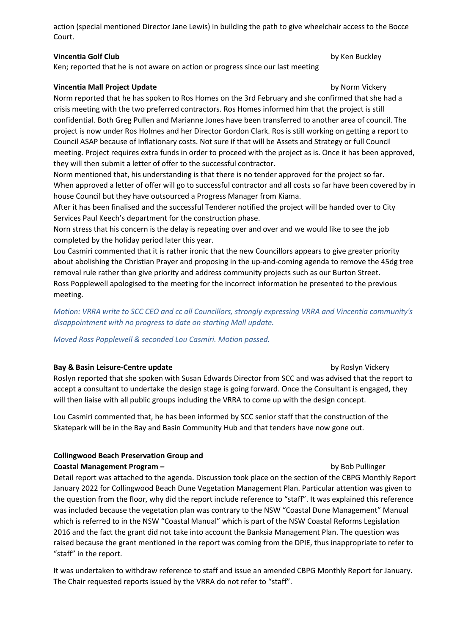action (special mentioned Director Jane Lewis) in building the path to give wheelchair access to the Bocce Court.

## **Vincentia Golf Club by Ken Buckley**

Ken; reported that he is not aware on action or progress since our last meeting

**Vincentia Mall Project Update** by Norm Vickery Norm reported that he has spoken to Ros Homes on the 3rd February and she confirmed that she had a crisis meeting with the two preferred contractors. Ros Homes informed him that the project is still confidential. Both Greg Pullen and Marianne Jones have been transferred to another area of council. The project is now under Ros Holmes and her Director Gordon Clark. Ros is still working on getting a report to

Council ASAP because of inflationary costs. Not sure if that will be Assets and Strategy or full Council meeting. Project requires extra funds in order to proceed with the project as is. Once it has been approved, they will then submit a letter of offer to the successful contractor.

Norm mentioned that, his understanding is that there is no tender approved for the project so far. When approved a letter of offer will go to successful contractor and all costs so far have been covered by in house Council but they have outsourced a Progress Manager from Kiama.

After it has been finalised and the successful Tenderer notified the project will be handed over to City Services Paul Keech's department for the construction phase.

Norn stress that his concern is the delay is repeating over and over and we would like to see the job completed by the holiday period later this year.

Lou Casmiri commented that it is rather ironic that the new Councillors appears to give greater priority about abolishing the Christian Prayer and proposing in the up-and-coming agenda to remove the 45dg tree removal rule rather than give priority and address community projects such as our Burton Street. Ross Popplewell apologised to the meeting for the incorrect information he presented to the previous meeting.

*Motion: VRRA write to SCC CEO and cc all Councillors, strongly expressing VRRA and Vincentia community's disappointment with no progress to date on starting Mall update.* 

*Moved Ross Popplewell & seconded Lou Casmiri. Motion passed.*

## **Bay & Basin Leisure-Centre update by Roslyn Vickery**

Roslyn reported that she spoken with Susan Edwards Director from SCC and was advised that the report to accept a consultant to undertake the design stage is going forward. Once the Consultant is engaged, they will then liaise with all public groups including the VRRA to come up with the design concept.

Lou Casmiri commented that, he has been informed by SCC senior staff that the construction of the Skatepark will be in the Bay and Basin Community Hub and that tenders have now gone out.

## **Collingwood Beach Preservation Group and**

## **Coastal Management Program –** by Bob Pullinger

Detail report was attached to the agenda. Discussion took place on the section of the CBPG Monthly Report January 2022 for Collingwood Beach Dune Vegetation Management Plan. Particular attention was given to the question from the floor, why did the report include reference to "staff". It was explained this reference was included because the vegetation plan was contrary to the NSW "Coastal Dune Management" Manual which is referred to in the NSW "Coastal Manual" which is part of the NSW Coastal Reforms Legislation 2016 and the fact the grant did not take into account the Banksia Management Plan. The question was raised because the grant mentioned in the report was coming from the DPIE, thus inappropriate to refer to "staff" in the report.

It was undertaken to withdraw reference to staff and issue an amended CBPG Monthly Report for January. The Chair requested reports issued by the VRRA do not refer to "staff".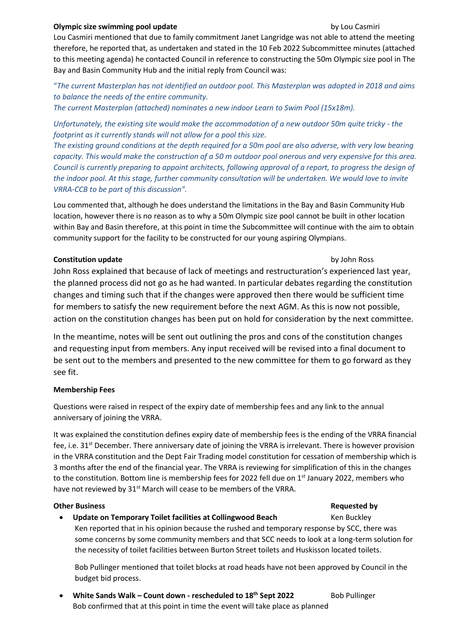### **Olympic size swimming pool update** by Lou Casmiri

Lou Casmiri mentioned that due to family commitment Janet Langridge was not able to attend the meeting therefore, he reported that, as undertaken and stated in the 10 Feb 2022 Subcommittee minutes (attached to this meeting agenda) he contacted Council in reference to constructing the 50m Olympic size pool in The Bay and Basin Community Hub and the initial reply from Council was:

"*The current Masterplan has not identified an outdoor pool. This Masterplan was adopted in 2018 and aims to balance the needs of the entire community.* 

*The current Masterplan (attached) nominates a new indoor Learn to Swim Pool (15x18m).* 

*Unfortunately, the existing site would make the accommodation of a new outdoor 50m quite tricky - the footprint as it currently stands will not allow for a pool this size.* 

*The existing ground conditions at the depth required for a 50m pool are also adverse, with very low bearing capacity. This would make the construction of a 50 m outdoor pool onerous and very expensive for this area. Council is currently preparing to appoint architects, following approval of a report, to progress the design of the indoor pool. At this stage, further community consultation will be undertaken. We would love to invite VRRA-CCB to be part of this discussion".*

Lou commented that, although he does understand the limitations in the Bay and Basin Community Hub location, however there is no reason as to why a 50m Olympic size pool cannot be built in other location within Bay and Basin therefore, at this point in time the Subcommittee will continue with the aim to obtain community support for the facility to be constructed for our young aspiring Olympians.

## **Constitution update** by John Ross

John Ross explained that because of lack of meetings and restructuration's experienced last year, the planned process did not go as he had wanted. In particular debates regarding the constitution changes and timing such that if the changes were approved then there would be sufficient time for members to satisfy the new requirement before the next AGM. As this is now not possible, action on the constitution changes has been put on hold for consideration by the next committee.

In the meantime, notes will be sent out outlining the pros and cons of the constitution changes and requesting input from members. Any input received will be revised into a final document to be sent out to the members and presented to the new committee for them to go forward as they see fit.

## **Membership Fees**

Questions were raised in respect of the expiry date of membership fees and any link to the annual anniversary of joining the VRRA.

It was explained the constitution defines expiry date of membership fees is the ending of the VRRA financial fee, i.e. 31st December. There anniversary date of joining the VRRA is irrelevant. There is however provision in the VRRA constitution and the Dept Fair Trading model constitution for cessation of membership which is 3 months after the end of the financial year. The VRRA is reviewing for simplification of this in the changes to the constitution. Bottom line is membership fees for 2022 fell due on 1<sup>st</sup> January 2022, members who have not reviewed by 31<sup>st</sup> March will cease to be members of the VRRA.

## **Other Business Requested by**

## **Update on Temporary Toilet facilities at Collingwood Beach Ken Buckley**

Ken reported that in his opinion because the rushed and temporary response by SCC, there was some concerns by some community members and that SCC needs to look at a long-term solution for the necessity of toilet facilities between Burton Street toilets and Huskisson located toilets.

Bob Pullinger mentioned that toilet blocks at road heads have not been approved by Council in the budget bid process.

• **White Sands Walk – Count down - rescheduled to 18th Sept 2022** Bob Pullinger Bob confirmed that at this point in time the event will take place as planned